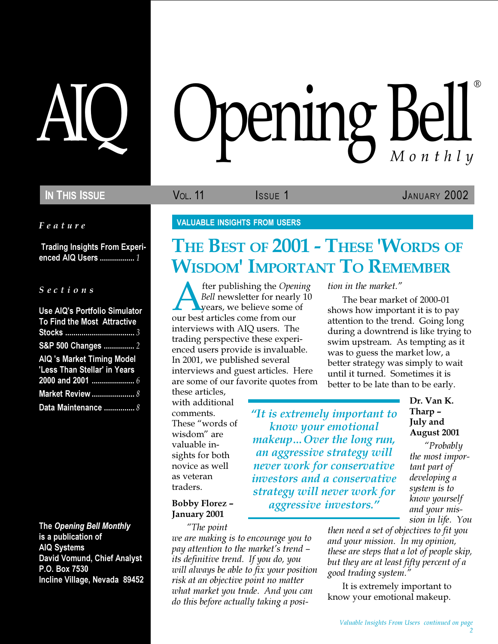Feature

 Trading Insights From Experienced AIQ Users ................. 1

S e c t i o n s

| Use AIQ's Portfolio Simulator<br>To Find the Most Attractive      |
|-------------------------------------------------------------------|
| S&P 500 Changes  2                                                |
| <b>AIQ 's Market Timing Model</b><br>'Less Than Stellar' in Years |
|                                                                   |
| <b>Market Review </b> 8                                           |
| Data Maintenance  8                                               |

The Opening Bell Monthly is a publication of AIQ Systems David Vomund, Chief Analyst P.O. Box 7530 Incline Village, Nevada 89452

# AIQ Opening Bell Monthly ®

IN THIS ISSUE VOL. 11 ISSUE 1 JANUARY 2002

VALUABLE INSIGHTS FROM USERS

## THE BEST OF 2001 - THESE 'WORDS OF WISDOM' IMPORTANT TO REMEMBER

"It is extremely important to know your emotional makeup…Over the long run, an aggressive strategy will never work for conservative investors and a conservative strategy will never work for aggressive investors."

fter publishing the Opening Bell newsletter for nearly 10 years, we believe some of our best articles come from our interviews with AIQ users. The trading perspective these experienced users provide is invaluable. In 2001, we published several interviews and guest articles. Here are some of our favorite quotes from

these articles, with additional comments. These "words of wisdom" are valuable insights for both novice as well as veteran traders.

#### Bobby Florez – January 2001

"The point we are making is to encourage you to pay attention to the market's trend – its definitive trend. If you do, you will always be able to fix your position risk at an objective point no matter what market you trade. And you can do this before actually taking a position in the market."

The bear market of 2000-01 shows how important it is to pay attention to the trend. Going long during a downtrend is like trying to swim upstream. As tempting as it was to guess the market low, a better strategy was simply to wait until it turned. Sometimes it is better to be late than to be early.

> Dr. Van K. Tharp – July and August 2001

"Probably the most important part of developing a system is to know yourself and your mission in life. You

then need a set of objectives to fit you and your mission. In my opinion, these are steps that a lot of people skip, but they are at least fifty percent of a good trading system."

It is extremely important to know your emotional makeup.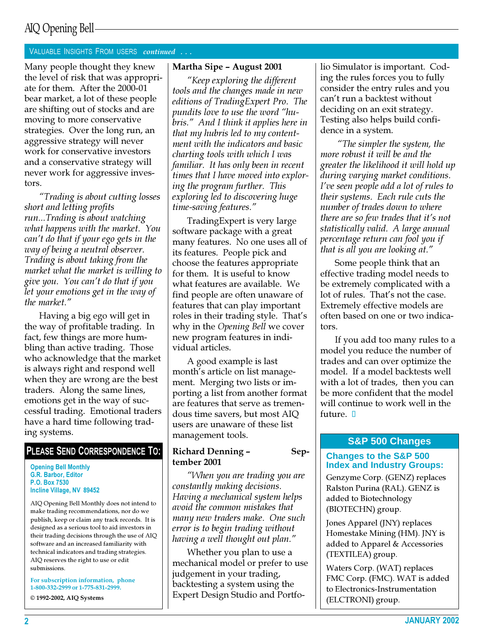## AIQ Opening Bell

#### VALUABLE INSIGHTS FROM USERS continued . . .

Many people thought they knew the level of risk that was appropriate for them. After the 2000-01 bear market, a lot of these people are shifting out of stocks and are moving to more conservative strategies. Over the long run, an aggressive strategy will never work for conservative investors and a conservative strategy will never work for aggressive investors.

"Trading is about cutting losses short and letting profits run...Trading is about watching what happens with the market. You can't do that if your ego gets in the way of being a neutral observer. Trading is about taking from the market what the market is willing to give you. You can't do that if you let your emotions get in the way of the market."

Having a big ego will get in the way of profitable trading. In fact, few things are more humbling than active trading. Those who acknowledge that the market is always right and respond well when they are wrong are the best traders. Along the same lines, emotions get in the way of successful trading. Emotional traders have a hard time following trading systems.

#### PLEASE SEND CORRESPONDENCE TO:

#### Opening Bell Monthly G.R. Barbor, Editor P.O. Box 7530 Incline Village, NV 89452

AIQ Opening Bell Monthly does not intend to make trading recommendations, nor do we publish, keep or claim any track records. It is designed as a serious tool to aid investors in their trading decisions through the use of AIQ software and an increased familiarity with technical indicators and trading strategies. AIQ reserves the right to use or edit submissions.

For subscription information, phone 1-800-332-2999 or 1-775-831-2999.

© 1992-2002, AIQ Systems

#### Martha Sipe – August 2001

"Keep exploring the different tools and the changes made in new editions of TradingExpert Pro. The pundits love to use the word "hubris." And I think it applies here in that my hubris led to my contentment with the indicators and basic charting tools with which I was familiar. It has only been in recent times that I have moved into exploring the program further. This exploring led to discovering huge time-saving features."

TradingExpert is very large software package with a great many features. No one uses all of its features. People pick and choose the features appropriate for them. It is useful to know what features are available. We find people are often unaware of features that can play important roles in their trading style. That's why in the Opening Bell we cover new program features in individual articles.

A good example is last month's article on list management. Merging two lists or importing a list from another format are features that serve as tremendous time savers, but most AIQ users are unaware of these list management tools.

#### Richard Denning – September 2001

"When you are trading you are constantly making decisions. Having a mechanical system helps avoid the common mistakes that many new traders make. One such error is to begin trading without having a well thought out plan."

Whether you plan to use a mechanical model or prefer to use judgement in your trading, backtesting a system using the Expert Design Studio and Portfolio Simulator is important. Coding the rules forces you to fully consider the entry rules and you can't run a backtest without deciding on an exit strategy. Testing also helps build confidence in a system.

"The simpler the system, the more robust it will be and the greater the likelihood it will hold up during varying market conditions. I've seen people add a lot of rules to their systems. Each rule cuts the number of trades down to where there are so few trades that it's not statistically valid. A large annual percentage return can fool you if that is all you are looking at."

Some people think that an effective trading model needs to be extremely complicated with a lot of rules. That's not the case. Extremely effective models are often based on one or two indicators.

If you add too many rules to a model you reduce the number of trades and can over optimize the model. If a model backtests well with a lot of trades, then you can be more confident that the model will continue to work well in the future.  $\Box$ 

#### **S&P 500 Changes**

#### **Changes to the S&P 500 Index and Industry Groups:**

Genzyme Corp. (GENZ) replaces Ralston Purina (RAL). GENZ is added to Biotechnology (BIOTECHN) group.

Jones Apparel (JNY) replaces Homestake Mining (HM). JNY is added to Apparel & Accessories (TEXTILEA) group.

Waters Corp. (WAT) replaces FMC Corp. (FMC). WAT is added to Electronics-Instrumentation (ELCTRONI) group.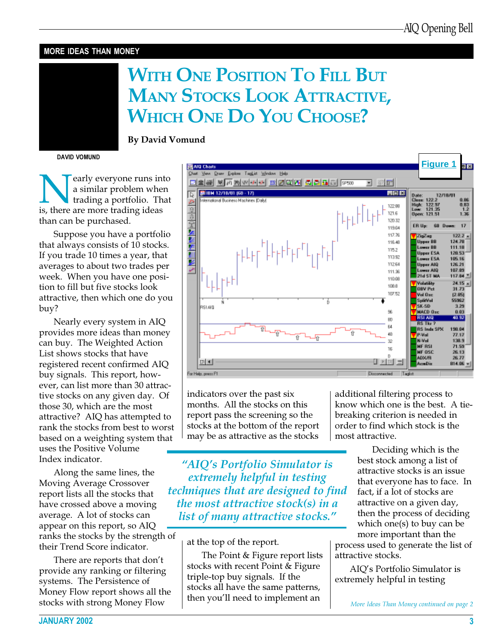#### MORE IDEAS THAN MONEY

# WITH ONE POSITION TO FILL BUT MANY STOCKS LOOK ATTRACTIVE, WHICH ONE DO YOU CHOOSE?

By David Vomund

DAVID VOMUND

**Nearly everyone runs into**<br> **i** a similar problem when<br> **i** trading a portfolio. That<br> **is, there are more trading ideas** a similar problem when trading a portfolio. That than can be purchased.

Suppose you have a portfolio that always consists of 10 stocks. If you trade 10 times a year, that averages to about two trades per week. When you have one position to fill but five stocks look attractive, then which one do you buy?

Nearly every system in AIQ provides more ideas than money can buy. The Weighted Action List shows stocks that have registered recent confirmed AIQ buy signals. This report, however, can list more than 30 attractive stocks on any given day. Of those 30, which are the most attractive? AIQ has attempted to rank the stocks from best to worst based on a weighting system that uses the Positive Volume Index indicator.

Along the same lines, the Moving Average Crossover report lists all the stocks that have crossed above a moving average. A lot of stocks can appear on this report, so AIQ ranks the stocks by the strength of their Trend Score indicator.

There are reports that don't provide any ranking or filtering systems. The Persistence of Money Flow report shows all the stocks with strong Money Flow



indicators over the past six months. All the stocks on this report pass the screening so the stocks at the bottom of the report may be as attractive as the stocks

"AIQ's Portfolio Simulator is extremely helpful in testing techniques that are designed to find the most attractive stock(s) in a list of many attractive stocks."

at the top of the report.

The Point & Figure report lists stocks with recent Point & Figure triple-top buy signals. If the stocks all have the same patterns, then you'll need to implement an

additional filtering process to know which one is the best. A tiebreaking criterion is needed in order to find which stock is the most attractive.

> Deciding which is the best stock among a list of attractive stocks is an issue that everyone has to face. In fact, if a lot of stocks are attractive on a given day, then the process of deciding which one(s) to buy can be more important than the

process used to generate the list of attractive stocks.

AIQ's Portfolio Simulator is extremely helpful in testing

More Ideas Than Money continued on page 2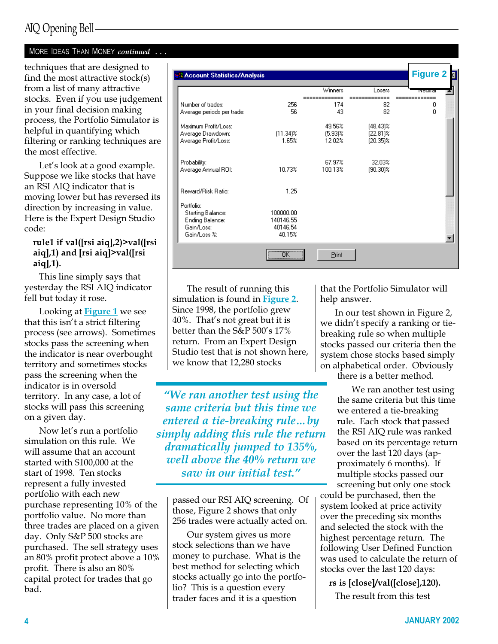## AIQ Opening Bell

#### MORE IDEAS THAN MONEY continued ...

techniques that are designed to find the most attractive stock $(s)$ from a list of many attractive stocks. Even if you use judgement in your final decision making process, the Portfolio Simulator is helpful in quantifying which filtering or ranking techniques are the most effective.

Let's look at a good example. Suppose we like stocks that have an RSI AIQ indicator that is moving lower but has reversed its direction by increasing in value. Here is the Expert Design Studio code:

#### rule1 if val([rsi aiq],2)>val([rsi aiq],1) and [rsi aiq]>val([rsi  $aiq$ ,  $1$ ).

This line simply says that yesterday the RSI AIQ indicator fell but today it rose.

Looking at **Figure 1** we see that this isn't a strict filtering process (see arrows). Sometimes stocks pass the screening when the indicator is near overbought territory and sometimes stocks pass the screening when the indicator is in oversold territory. In any case, a lot of stocks will pass this screening on a given day.

Now let's run a portfolio simulation on this rule. We will assume that an account started with \$100,000 at the start of 1998. Ten stocks represent a fully invested portfolio with each new purchase representing 10% of the portfolio value. No more than three trades are placed on a given day. Only S&P 500 stocks are purchased. The sell strategy uses an 80% profit protect above a 10% profit. There is also an 80% capital protect for trades that go bad.

| <b>A Account Statistics/Analysis</b>                                             |                                              |                                |                                           | <b>Figure 2</b> |
|----------------------------------------------------------------------------------|----------------------------------------------|--------------------------------|-------------------------------------------|-----------------|
|                                                                                  |                                              | Winners                        | Losers                                    | neuuai          |
| Number of trades:<br>Average periods per trade:                                  | 256<br>56                                    | 174<br>43                      | 82<br>82                                  | ۵<br>0          |
| Maximum Profit/Loss:<br>Average Drawdown:<br>Average Profit/Loss:                | $(11.34)$ %<br>1.65%                         | 49.56%<br>$(5.93)$ %<br>12.02% | $(48.43)\%$<br>$[22.81]\%$<br>$(20.35)\%$ |                 |
| Probability:<br>Average Annual ROI:                                              | 10.73%                                       | 67.97%<br>100.13%              | 32.03%<br>$(90.30)$ %                     |                 |
| Reward/Risk Ratio:                                                               | 1.25                                         |                                |                                           |                 |
| Portfolio:<br>Starting Balance:<br>Ending Balance:<br>Gain/Loss:<br>Gain/Loss %: | 100000.00<br>140146.55<br>40146.54<br>40.15% |                                |                                           |                 |
|                                                                                  | <u></u><br>ПΚ                                | Print                          |                                           |                 |

The result of running this simulation is found in Figure 2. Since 1998, the portfolio grew 40%. That's not great but it is better than the S&P 500's 17% return. From an Expert Design Studio test that is not shown here, we know that 12,280 stocks

"We ran another test using the same criteria but this time we entered a tie-breaking rule…by simply adding this rule the return dramatically jumped to 135%, well above the 40% return we saw in our initial test."

passed our RSI AIQ screening. Of those, Figure 2 shows that only 256 trades were actually acted on.

Our system gives us more stock selections than we have money to purchase. What is the best method for selecting which stocks actually go into the portfolio? This is a question every trader faces and it is a question

that the Portfolio Simulator will help answer.

In our test shown in Figure 2, we didn't specify a ranking or tiebreaking rule so when multiple stocks passed our criteria then the system chose stocks based simply on alphabetical order. Obviously

there is a better method.

We ran another test using the same criteria but this time we entered a tie-breaking rule. Each stock that passed the RSI AIQ rule was ranked based on its percentage return over the last 120 days (approximately 6 months). If multiple stocks passed our screening but only one stock

could be purchased, then the system looked at price activity over the preceding six months and selected the stock with the highest percentage return. The following User Defined Function was used to calculate the return of stocks over the last 120 days:

rs is [close]/val([close],120).

The result from this test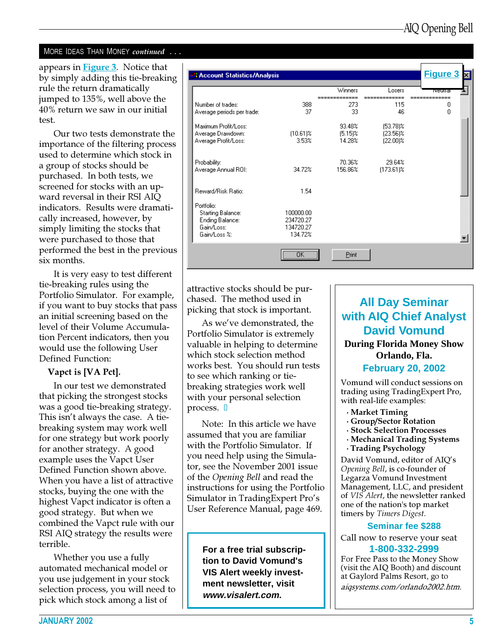#### MORE IDEAS THAN MONEY continued ...

appears in Figure 3. Notice that **Figure 3** A Account Statistics/Analysis by simply adding this tie-breaking rule the return dramatically Winners Losers jumped to 135%, well above the ---------Number of trades: 388 273 115 0 40% return we saw in our initial Average periods per trade: 37 33 46  $\Omega$ test. Maximum Profit/Loss: 93.48%  $(53.78)\%$ Our two tests demonstrate the  $(10.61)$ %  $(5.15)$ %  $(23.56)$ % Average Drawdown: Average Profit/Loss: 3.53% 14.28%  $(22.00)\%$ importance of the filtering process used to determine which stock in 70.36% 29.64% Probability: a group of stocks should be Average Annual ROI: 34.72% 156.86%  $(173.61)\%$ purchased. In both tests, we screened for stocks with an up-Reward/Risk Ratio: 1.54 ward reversal in their RSI AIQ indicators. Results were dramati-Portfolio: **Starting Balance:** 100000.00 cally increased, however, by Ending Balance: 234720.27 Gain/Loss: 134720.27 simply limiting the stocks that Gain/Loss %: 134.72% were purchased to those that ▾ performed the best in the previous ΰK Print six months.

It is very easy to test different tie-breaking rules using the Portfolio Simulator. For example, if you want to buy stocks that pass an initial screening based on the level of their Volume Accumulation Percent indicators, then you would use the following User Defined Function:

#### Vapct is [VA Pct].

In our test we demonstrated that picking the strongest stocks was a good tie-breaking strategy. This isn't always the case. A tiebreaking system may work well for one strategy but work poorly for another strategy. A good example uses the Vapct User Defined Function shown above. When you have a list of attractive stocks, buying the one with the highest Vapct indicator is often a good strategy. But when we combined the Vapct rule with our RSI AIQ strategy the results were terrible.

Whether you use a fully automated mechanical model or you use judgement in your stock selection process, you will need to pick which stock among a list of

attractive stocks should be purchased. The method used in picking that stock is important.

As we've demonstrated, the Portfolio Simulator is extremely valuable in helping to determine which stock selection method works best. You should run tests to see which ranking or tiebreaking strategies work well with your personal selection process.  $\Box$ 

Note: In this article we have assumed that you are familiar with the Portfolio Simulator. If you need help using the Simulator, see the November 2001 issue of the Opening Bell and read the instructions for using the Portfolio Simulator in TradingExpert Pro's User Reference Manual, page 469.

**For a free trial subscription to David Vomund's VIS Alert weekly investment newsletter, visit www.visalert.com.**

## **All Day Seminar with AIQ Chief Analyst David Vomund During Florida Money Show Orlando, Fla. February 20, 2002**

Vomund will conduct sessions on trading using TradingExpert Pro, with real-life examples:

- · Market Timing
- · Group/Sector Rotation
- · Stock Selection Processes
- · Mechanical Trading Systems
- · Trading Psychology

David Vomund, editor of AIQ's Opening Bell, is co-founder of Legarza Vomund Investment Management, LLC, and president of VIS Alert, the newsletter ranked one of the nation's top market timers by Timers Digest.

#### **Seminar fee \$288**

Call now to reserve your seat

#### **1-800-332-2999**

For Free Pass to the Money Show (visit the AIQ Booth) and discount at Gaylord Palms Resort, go to aiqsystems.com/orlando2002.htm.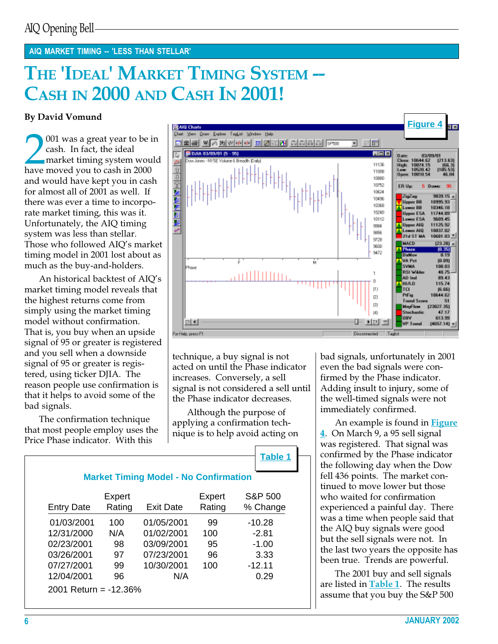#### AIQ MARKET TIMING -- 'LESS THAN STELLAR'

# THE 'IDEAL' MARKET TIMING SYSTEM --CASH IN 2000 AND CASH IN 2001!

### By David Vomund

**2** ash. In fact, the ideal market timing system wou have moved you to cash in 2000 001 was a great year to be in cash. In fact, the ideal market timing system would and would have kept you in cash for almost all of 2001 as well. If there was ever a time to incorporate market timing, this was it. Unfortunately, the AIQ timing system was less than stellar. Those who followed AIQ's market timing model in 2001 lost about as much as the buy-and-holders.

An historical backtest of AIQ's market timing model reveals that the highest returns come from simply using the market timing model without confirmation. That is, you buy when an upside signal of 95 or greater is registered and you sell when a downside signal of 95 or greater is registered, using ticker DJIA. The reason people use confirmation is that it helps to avoid some of the bad signals.

The confirmation technique that most people employ uses the Price Phase indicator. With this



technique, a buy signal is not acted on until the Phase indicator increases. Conversely, a sell signal is not considered a sell until the Phase indicator decreases.

Although the purpose of applying a confirmation technique is to help avoid acting on

**Table 1**

| <b>Entry Date</b> | Expert<br>Rating | <b>Exit Date</b> | Expert<br>Rating | S&P 500<br>% Change |
|-------------------|------------------|------------------|------------------|---------------------|
| 01/03/2001        | 100              | 01/05/2001       | 99               | $-10.28$            |
| 12/31/2000        | N/A              | 01/02/2001       | 100              | $-2.81$             |
| 02/23/2001        | 98               | 03/09/2001       | 95               | $-1.00$             |
| 03/26/2001        | 97               | 07/23/2001       | 96               | 3.33                |
| 07/27/2001        | 99               | 10/30/2001       | 100              | $-12.11$            |
| 12/04/2001        | 96               | N/A              |                  | 0.29                |

bad signals, unfortunately in 2001 even the bad signals were confirmed by the Phase indicator. Adding insult to injury, some of the well-timed signals were not immediately confirmed.

An example is found in **Figure** 4. On March 9, a 95 sell signal was registered. That signal was confirmed by the Phase indicator the following day when the Dow fell 436 points. The market continued to move lower but those who waited for confirmation experienced a painful day. There was a time when people said that the AIQ buy signals were good but the sell signals were not. In the last two years the opposite has been true. Trends are powerful.

The 2001 buy and sell signals are listed in **Table 1**. The results assume that you buy the S&P 500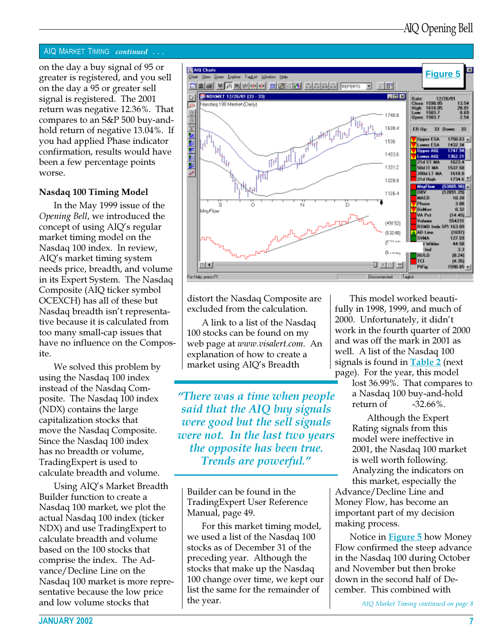#### AIQ MARKET TIMING continued . . .

greater is registered, and you sell on the day a 95 or greater sell signal is registered. The 2001 return was negative 12.36%. That compares to an S&P 500 buy-andhold return of negative 13.04%. If you had applied Phase indicator confirmation, results would have been a few percentage points worse.

#### Nasdaq 100 Timing Model

In the May 1999 issue of the Opening Bell, we introduced the concept of using AIQ's regular market timing model on the Nasdaq 100 index. In review, AIQ's market timing system needs price, breadth, and volume in its Expert System. The Nasdaq Composite (AIQ ticker symbol OCEXCH) has all of these but Nasdaq breadth isn't representative because it is calculated from too many small-cap issues that have no influence on the Composite.

We solved this problem by using the Nasdaq 100 index instead of the Nasdaq Composite. The Nasdaq 100 index (NDX) contains the large capitalization stocks that move the Nasdaq Composite. Since the Nasdaq 100 index has no breadth or volume, TradingExpert is used to calculate breadth and volume.

Using AIQ's Market Breadth Builder function to create a Nasdaq 100 market, we plot the actual Nasdaq 100 index (ticker NDX) and use TradingExpert to calculate breadth and volume based on the 100 stocks that comprise the index. The Advance/Decline Line on the Nasdaq 100 market is more representative because the low price and low volume stocks that



distort the Nasdaq Composite are excluded from the calculation.

A link to a list of the Nasdaq 100 stocks can be found on my web page at www.visalert.com. An explanation of how to create a market using AIQ's Breadth

"There was a time when people said that the AIQ buy signals were good but the sell signals were not. In the last two years the opposite has been true. Trends are powerful."

Builder can be found in the TradingExpert User Reference Manual, page 49.

For this market timing model, we used a list of the Nasdaq 100 stocks as of December 31 of the preceding year. Although the stocks that make up the Nasdaq 100 change over time, we kept our list the same for the remainder of the year.

This model worked beautifully in 1998, 1999, and much of 2000. Unfortunately, it didn't work in the fourth quarter of 2000 and was off the mark in 2001 as well. A list of the Nasdaq 100 signals is found in **Table 2** (next page). For the year, this model

lost 36.99%. That compares to a Nasdaq 100 buy-and-hold return of -32.66%.

Although the Expert Rating signals from this model were ineffective in 2001, the Nasdaq 100 market is well worth following. Analyzing the indicators on this market, especially the

Advance/Decline Line and Money Flow, has become an important part of my decision making process.

Notice in **Figure 5** how Money Flow confirmed the steep advance in the Nasdaq 100 during October and November but then broke down in the second half of December. This combined with

AIQ Market Timing continued on page 8